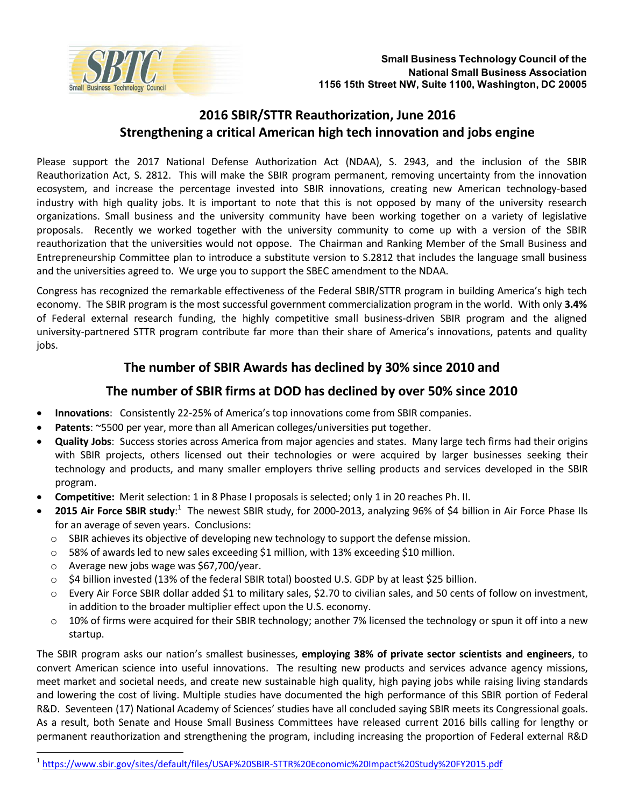

## 2016 SBIR/STTR Reauthorization, June 2016 Strengthening a critical American high tech innovation and jobs engine

Please support the 2017 National Defense Authorization Act (NDAA), S. 2943, and the inclusion of the SBIR Reauthorization Act, S. 2812. This will make the SBIR program permanent, removing uncertainty from the innovation ecosystem, and increase the percentage invested into SBIR innovations, creating new American technology-based industry with high quality jobs. It is important to note that this is not opposed by many of the university research organizations. Small business and the university community have been working together on a variety of legislative proposals. Recently we worked together with the university community to come up with a version of the SBIR reauthorization that the universities would not oppose. The Chairman and Ranking Member of the Small Business and Entrepreneurship Committee plan to introduce a substitute version to S.2812 that includes the language small business and the universities agreed to. We urge you to support the SBEC amendment to the NDAA.

Congress has recognized the remarkable effectiveness of the Federal SBIR/STTR program in building America's high tech economy. The SBIR program is the most successful government commercialization program in the world. With only 3.4% of Federal external research funding, the highly competitive small business-driven SBIR program and the aligned university-partnered STTR program contribute far more than their share of America's innovations, patents and quality jobs.

## The number of SBIR Awards has declined by 30% since 2010 and

## The number of SBIR firms at DOD has declined by over 50% since 2010

- Innovations: Consistently 22-25% of America's top innovations come from SBIR companies.
- Patents: ~5500 per year, more than all American colleges/universities put together.
- Quality Jobs: Success stories across America from major agencies and states. Many large tech firms had their origins with SBIR projects, others licensed out their technologies or were acquired by larger businesses seeking their technology and products, and many smaller employers thrive selling products and services developed in the SBIR program.
- Competitive: Merit selection: 1 in 8 Phase I proposals is selected; only 1 in 20 reaches Ph. II.
- 2015 Air Force SBIR study:<sup>1</sup> The newest SBIR study, for 2000-2013, analyzing 96% of \$4 billion in Air Force Phase IIs  $\bullet$ for an average of seven years. Conclusions:
	- SBIR achieves its objective of developing new technology to support the defense mission.
	- 58% of awards led to new sales exceeding \$1 million, with 13% exceeding \$10 million.
	- Average new jobs wage was \$67,700/year.  $\circ$
	- \$4 billion invested (13% of the federal SBIR total) boosted U.S. GDP by at least \$25 billion.  $\circ$
	- Every Air Force SBIR dollar added \$1 to military sales, \$2.70 to civilian sales, and 50 cents of follow on investment, in addition to the broader multiplier effect upon the U.S. economy.
	- 10% of firms were acquired for their SBIR technology; another 7% licensed the technology or spun it off into a new startup.

The SBIR program asks our nation's smallest businesses, employing 38% of private sector scientists and engineers, to convert American science into useful innovations. The resulting new products and services advance agency missions, meet market and societal needs, and create new sustainable high quality, high paying jobs while raising living standards and lowering the cost of living. Multiple studies have documented the high performance of this SBIR portion of Federal R&D. Seventeen (17) National Academy of Sciences' studies have all concluded saying SBIR meets its Congressional goals. As a result, both Senate and House Small Business Committees have released current 2016 bills calling for lengthy or permanent reauthorization and strengthening the program, including increasing the proportion of Federal external R&D

<sup>&</sup>lt;sup>1</sup> https://www.sbir.gov/sites/default/files/USAF%20SBIR-STTR%20Economic%20Impact%20Study%20FY2015.pdf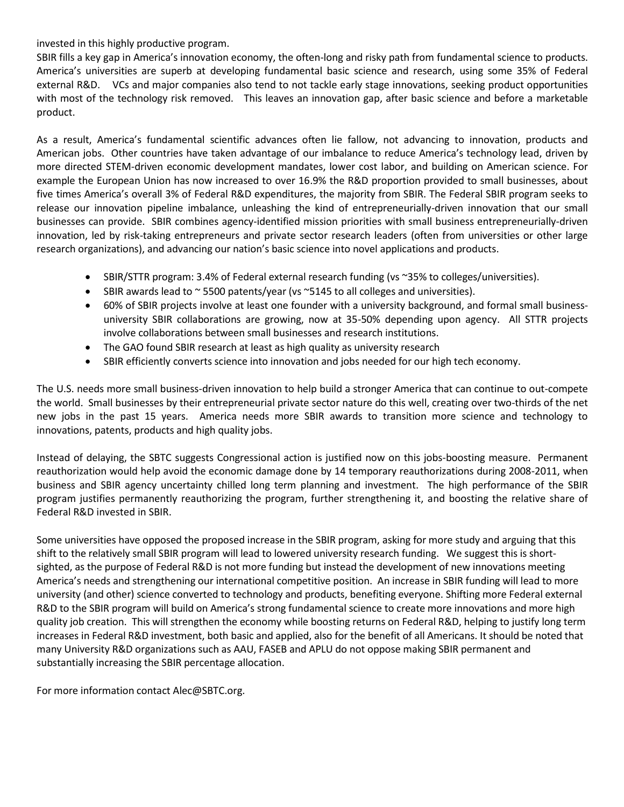invested in this highly productive program.

SBIR fills a key gap in America's innovation economy, the often-long and risky path from fundamental science to products. America's universities are superb at developing fundamental basic science and research, using some 35% of Federal external R&D. VCs and major companies also tend to not tackle early stage innovations, seeking product opportunities with most of the technology risk removed. This leaves an innovation gap, after basic science and before a marketable product.

As a result, America's fundamental scientific advances often lie fallow, not advancing to innovation, products and American jobs. Other countries have taken advantage of our imbalance to reduce America's technology lead, driven by more directed STEM-driven economic development mandates, lower cost labor, and building on American science. For example the European Union has now increased to over 16.9% the R&D proportion provided to small businesses, about five times America's overall 3% of Federal R&D expenditures, the majority from SBIR. The Federal SBIR program seeks to release our innovation pipeline imbalance, unleashing the kind of entrepreneurially-driven innovation that our small businesses can provide. SBIR combines agency-identified mission priorities with small business entrepreneurially-driven innovation, led by risk-taking entrepreneurs and private sector research leaders (often from universities or other large research organizations), and advancing our nation's basic science into novel applications and products.

- SBIR/STTR program: 3.4% of Federal external research funding (vs ~35% to colleges/universities).
- **SBIR** awards lead to  $\sim$  5500 patents/year (vs  $\sim$  5145 to all colleges and universities).
- 60% of SBIR projects involve at least one founder with a university background, and formal small businessuniversity SBIR collaborations are growing, now at 35-50% depending upon agency. All STTR projects involve collaborations between small businesses and research institutions.
- The GAO found SBIR research at least as high quality as university research
- SBIR efficiently converts science into innovation and jobs needed for our high tech economy.

The U.S. needs more small business-driven innovation to help build a stronger America that can continue to out-compete the world. Small businesses by their entrepreneurial private sector nature do this well, creating over two-thirds of the net new jobs in the past 15 years. America needs more SBIR awards to transition more science and technology to innovations, patents, products and high quality jobs.

Instead of delaying, the SBTC suggests Congressional action is justified now on this jobs-boosting measure. Permanent reauthorization would help avoid the economic damage done by 14 temporary reauthorizations during 2008-2011, when business and SBIR agency uncertainty chilled long term planning and investment. The high performance of the SBIR program justifies permanently reauthorizing the program, further strengthening it, and boosting the relative share of Federal R&D invested in SBIR.

Some universities have opposed the proposed increase in the SBIR program, asking for more study and arguing that this shift to the relatively small SBIR program will lead to lowered university research funding. We suggest this is shortsighted, as the purpose of Federal R&D is not more funding but instead the development of new innovations meeting America's needs and strengthening our international competitive position. An increase in SBIR funding will lead to more university (and other) science converted to technology and products, benefiting everyone. Shifting more Federal external R&D to the SBIR program will build on America's strong fundamental science to create more innovations and more high quality job creation. This will strengthen the economy while boosting returns on Federal R&D, helping to justify long term increases in Federal R&D investment, both basic and applied, also for the benefit of all Americans. It should be noted that many University R&D organizations such as AAU, FASEB and APLU do not oppose making SBIR permanent and substantially increasing the SBIR percentage allocation.

For more information contact Alec@SBTC.org.